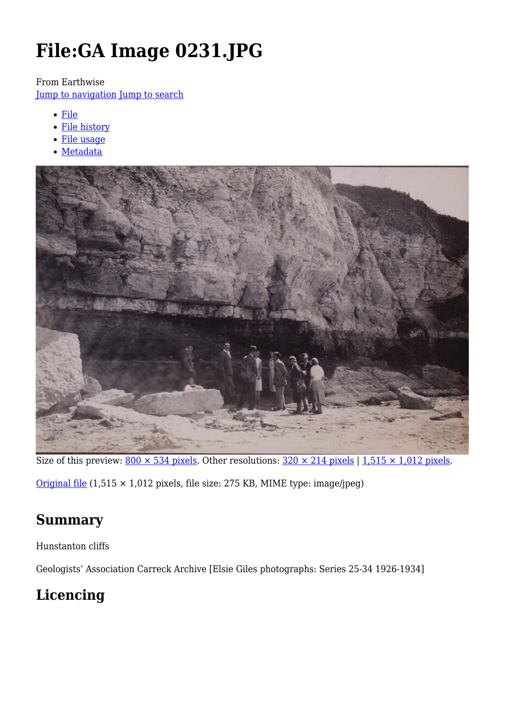# **File:GA Image 0231.JPG**

From Earthwise

[Jump to navigation](#page--1-0) [Jump to search](#page--1-0)

- [File](#page--1-0)
- [File history](#page--1-0)
- [File usage](#page--1-0)
- [Metadata](#page--1-0)



Size of this preview:  $800 \times 534$  pixels. Other resolutions:  $320 \times 214$  pixels | 1,515  $\times$  1,012 pixels.

[Original file](http://earthwise.bgs.ac.uk/images/8/8f/GA_Image_0231.JPG) (1,515 × 1,012 pixels, file size: 275 KB, MIME type: image/jpeg)

# **Summary**

Hunstanton cliffs

Geologists' Association Carreck Archive [Elsie Giles photographs: Series 25-34 1926-1934]

# **Licencing**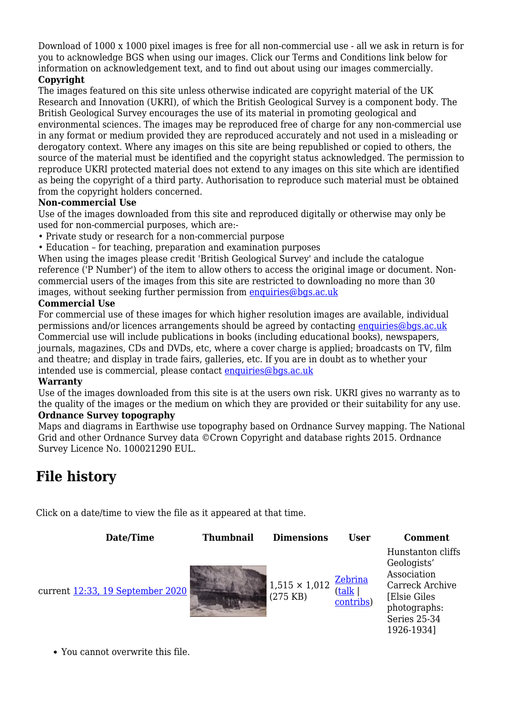Download of 1000 x 1000 pixel images is free for all non-commercial use - all we ask in return is for you to acknowledge BGS when using our images. Click our Terms and Conditions link below for information on acknowledgement text, and to find out about using our images commercially.

#### **Copyright**

The images featured on this site unless otherwise indicated are copyright material of the UK Research and Innovation (UKRI), of which the British Geological Survey is a component body. The British Geological Survey encourages the use of its material in promoting geological and environmental sciences. The images may be reproduced free of charge for any non-commercial use in any format or medium provided they are reproduced accurately and not used in a misleading or derogatory context. Where any images on this site are being republished or copied to others, the source of the material must be identified and the copyright status acknowledged. The permission to reproduce UKRI protected material does not extend to any images on this site which are identified as being the copyright of a third party. Authorisation to reproduce such material must be obtained from the copyright holders concerned.

#### **Non-commercial Use**

Use of the images downloaded from this site and reproduced digitally or otherwise may only be used for non-commercial purposes, which are:-

- Private study or research for a non-commercial purpose
- Education for teaching, preparation and examination purposes

When using the images please credit 'British Geological Survey' and include the catalogue reference ('P Number') of the item to allow others to access the original image or document. Noncommercial users of the images from this site are restricted to downloading no more than 30 images, without seeking further permission from [enquiries@bgs.ac.uk](mailto:enquiries@bgs.ac.uk)

#### **Commercial Use**

For commercial use of these images for which higher resolution images are available, individual permissions and/or licences arrangements should be agreed by contacting [enquiries@bgs.ac.uk](mailto:enquiries@bgs.ac.uk) Commercial use will include publications in books (including educational books), newspapers, journals, magazines, CDs and DVDs, etc, where a cover charge is applied; broadcasts on TV, film and theatre; and display in trade fairs, galleries, etc. If you are in doubt as to whether your intended use is commercial, please contact [enquiries@bgs.ac.uk](mailto:enquiries@bgs.ac.uk)

#### **Warranty**

Use of the images downloaded from this site is at the users own risk. UKRI gives no warranty as to the quality of the images or the medium on which they are provided or their suitability for any use. **Ordnance Survey topography**

Maps and diagrams in Earthwise use topography based on Ordnance Survey mapping. The National Grid and other Ordnance Survey data ©Crown Copyright and database rights 2015. Ordnance Survey Licence No. 100021290 EUL.

# **File history**

Click on a date/time to view the file as it appeared at that time.

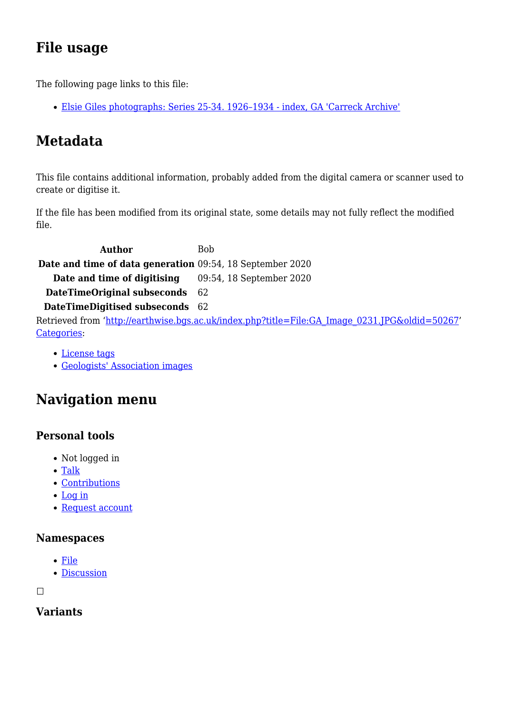# **File usage**

The following page links to this file:

[Elsie Giles photographs: Series 25-34. 1926–1934 - index, GA 'Carreck Archive'](http://earthwise.bgs.ac.uk/index.php/Elsie_Giles_photographs:_Series_25-34._1926%E2%80%931934_-_index,_GA_%27Carreck_Archive%27)

# **Metadata**

This file contains additional information, probably added from the digital camera or scanner used to create or digitise it.

If the file has been modified from its original state, some details may not fully reflect the modified file.

**Author** Bob **Date and time of data generation** 09:54, 18 September 2020 **Date and time of digitising** 09:54, 18 September 2020 **DateTimeOriginal subseconds** 62 **DateTimeDigitised subseconds** 62 Retrieved from ['http://earthwise.bgs.ac.uk/index.php?title=File:GA\\_Image\\_0231.JPG&oldid=50267](http://earthwise.bgs.ac.uk/index.php?title=File:GA_Image_0231.JPG&oldid=50267)' [Categories:](http://earthwise.bgs.ac.uk/index.php/Special:Categories)

- [License tags](http://earthwise.bgs.ac.uk/index.php/Category:License_tags)
- [Geologists' Association images](http://earthwise.bgs.ac.uk/index.php/Category:Geologists%27_Association_images)

# **Navigation menu**

### **Personal tools**

- Not logged in
- [Talk](http://earthwise.bgs.ac.uk/index.php/Special:MyTalk)
- [Contributions](http://earthwise.bgs.ac.uk/index.php/Special:MyContributions)
- [Log in](http://earthwise.bgs.ac.uk/index.php?title=Special:UserLogin&returnto=File%3AGA+Image+0231.JPG&returntoquery=action%3Dmpdf)
- [Request account](http://earthwise.bgs.ac.uk/index.php/Special:RequestAccount)

#### **Namespaces**

- [File](http://earthwise.bgs.ac.uk/index.php/File:GA_Image_0231.JPG)
- [Discussion](http://earthwise.bgs.ac.uk/index.php?title=File_talk:GA_Image_0231.JPG&action=edit&redlink=1)

 $\Box$ 

### **Variants**